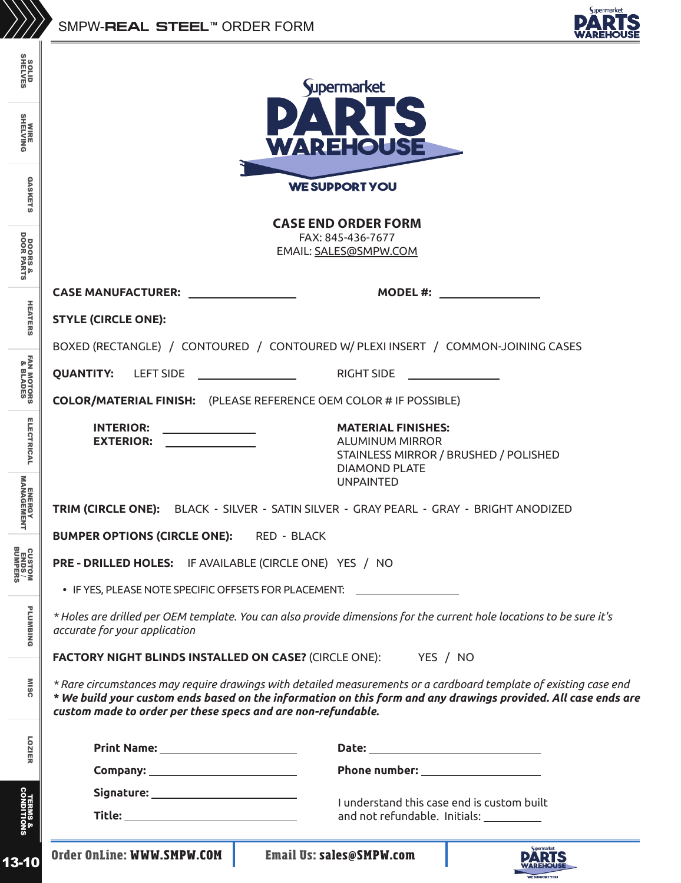

| <b>SOLID</b><br>SHELVES                                               |                                                                                                                                                                                                                                                                                                     | Supermarket                         |  |
|-----------------------------------------------------------------------|-----------------------------------------------------------------------------------------------------------------------------------------------------------------------------------------------------------------------------------------------------------------------------------------------------|-------------------------------------|--|
| <b>WIRE<br/>SHELVING</b>                                              | <b>WAREHOUSE</b>                                                                                                                                                                                                                                                                                    |                                     |  |
| <b>GASKETS</b>                                                        | <b>WE SUPPORT YOU</b><br><b>CASE END ORDER FORM</b>                                                                                                                                                                                                                                                 |                                     |  |
| <b>DOORS &amp;<br/>DOOR PARTS</b>                                     | FAX: 845-436-7677<br>EMAIL: SALES@SMPW.COM                                                                                                                                                                                                                                                          |                                     |  |
|                                                                       | CASE MANUFACTURER: <u>_____________________</u>                                                                                                                                                                                                                                                     | <b>MODEL #:</b>                     |  |
| <b>HEATERS</b>                                                        | <b>STYLE (CIRCLE ONE):</b>                                                                                                                                                                                                                                                                          |                                     |  |
|                                                                       | BOXED (RECTANGLE) / CONTOURED / CONTOURED W/ PLEXI INSERT / COMMON-JOINING CASES                                                                                                                                                                                                                    |                                     |  |
|                                                                       | <b>QUANTITY: LEFT SIDE</b>                                                                                                                                                                                                                                                                          | <b>RIGHT SIDE</b>                   |  |
| <b>FAN MOTORS<br/>8. BLADES</b>                                       | <b>COLOR/MATERIAL FINISH:</b> (PLEASE REFERENCE OEM COLOR # IF POSSIBLE)                                                                                                                                                                                                                            |                                     |  |
| <b>ELECTRICAL</b>                                                     | <b>INTERIOR:</b><br><b>MATERIAL FINISHES:</b><br><b>EXTERIOR:</b><br><b>ALUMINUM MIRROR</b><br>STAINLESS MIRROR / BRUSHED / POLISHED                                                                                                                                                                |                                     |  |
| <b>ENERGY<br/>MANAGEMENT</b>                                          | <b>DIAMOND PLATE</b><br><b>UNPAINTED</b><br>TRIM (CIRCLE ONE): BLACK - SILVER - SATIN SILVER - GRAY PEARL - GRAY - BRIGHT ANODIZED                                                                                                                                                                  |                                     |  |
|                                                                       | <b>BUMPER OPTIONS (CIRCLE ONE):</b><br>RED - BLACK                                                                                                                                                                                                                                                  |                                     |  |
| CUSTOM<br>ENDS/<br>BUMPERS                                            | PRE - DRILLED HOLES: IF AVAILABLE (CIRCLE ONE) YES / NO                                                                                                                                                                                                                                             |                                     |  |
| <b>PLUMBING</b>                                                       | • IF YES, PLEASE NOTE SPECIFIC OFFSETS FOR PLACEMENT:<br>* Holes are drilled per OEM template. You can also provide dimensions for the current hole locations to be sure it's<br>accurate for your application                                                                                      |                                     |  |
| <b>FACTORY NIGHT BLINDS INSTALLED ON CASE? (CIRCLE ONE): YES / NO</b> |                                                                                                                                                                                                                                                                                                     |                                     |  |
| <b>MISC</b>                                                           | * Rare circumstances may require drawings with detailed measurements or a cardboard template of existing case end<br>* We build your custom ends based on the information on this form and any drawings provided. All case ends are<br>custom made to order per these specs and are non-refundable. |                                     |  |
| LOZIER                                                                |                                                                                                                                                                                                                                                                                                     |                                     |  |
|                                                                       |                                                                                                                                                                                                                                                                                                     | Phone number: _____________________ |  |
|                                                                       | Signature: ____________________________                                                                                                                                                                                                                                                             |                                     |  |
| <b>TERMS &amp;<br/>CONDITIONS</b>                                     | I understand this case end is custom built<br>Title: ________________________________<br>and not refundable. Initials: __________                                                                                                                                                                   |                                     |  |
| 13-10                                                                 | Order OnLine: WWW.SMPW.COM                                                                                                                                                                                                                                                                          | <b>Email Us: sales@SMPW.com</b>     |  |

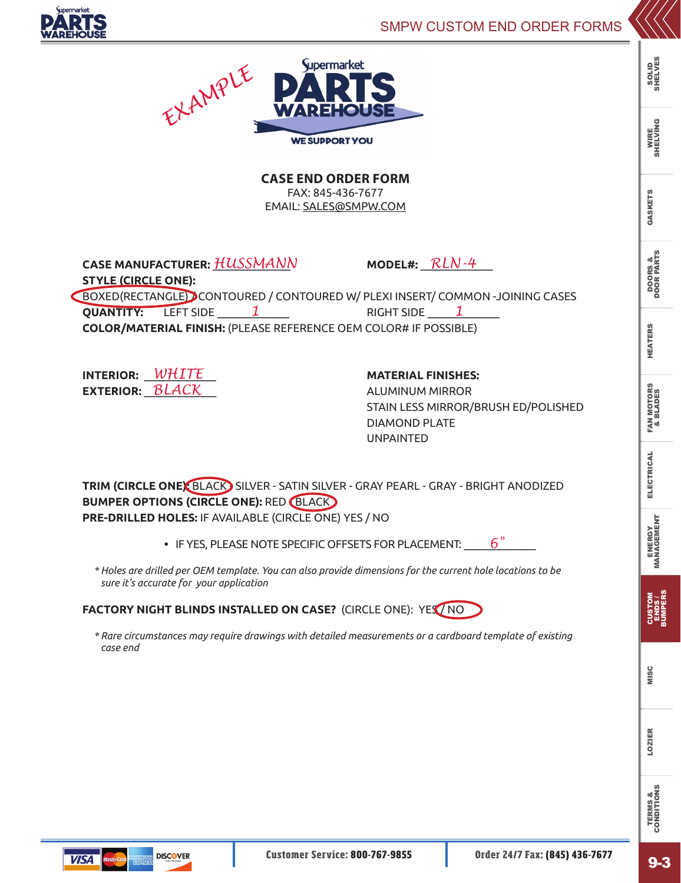



**CASE END ORDER FORM**  FAX: 845-436-7677 EMAIL: SALES@SMPW.COM

**CASE MANUFACTURER:** \_\_\_\_\_\_\_\_\_\_\_\_\_\_ **MODEL#:** \_\_\_\_\_\_\_\_\_\_\_\_\_ *HUSSMANN* **STYLE (CIRCLE ONE):**

BOXED(RECTANGLE) / CONTOURED / CONTOURED W/ PLEXI INSERT/ COMMON -JOINING CASES **QUANTITY:** LEFT SIDE \_\_\_\_\_\_\_1 \_\_\_\_\_\_\_ RIGHT SIDE \_\_\_\_\_<u>1</u> \_\_\_\_\_\_ **COLOR/MATERIAL FINISH:** (PLEASE REFERENCE OEM COLOR# IF POSSIBLE)

**INTERIOR:** \_\_\_\_\_\_\_\_\_\_\_\_\_ **MATERIAL FINISHES:** *WHITE* **EXTERIOR:**  $\overline{Black}$  aluminum mirror

*RLN-4*

STAIN LESS MIRROR/BRUSH ED/POLISHED DIAMOND PLATE UNPAINTED

**TRIM (CIRCLE ONE):** BLACK SILVER - SATIN SILVER - GRAY PEARL - GRAY - BRIGHT ANODIZED **BUMPER OPTIONS (CIRCLE ONE): RED (BLACK) PRE-DRILLED HOLES:** IF AVAILABLE (CIRCLE ONE) YES / NO

> **•** IF YES, PLEASE NOTE SPECIFIC OFFSETS FOR PLACEMENT: \_\_\_\_\_\_\_\_\_\_\_\_\_ *6"*

*\* Holes are drilled per OEM template. You can also provide dimensions for the current hole locations to be sure it's accurate for your application*

**FACTORY NIGHT BLINDS INSTALLED ON CASE?** (CIRCLE ONE): YES / NO

*\* Rare circumstances may require drawings with detailed measurements or a cardboard template of existing case end*

SOLID<br>SHELVES SHELVES

TERMS & CONDITIONS

**TERMS &<br>CONDITIONS** 



**VISA**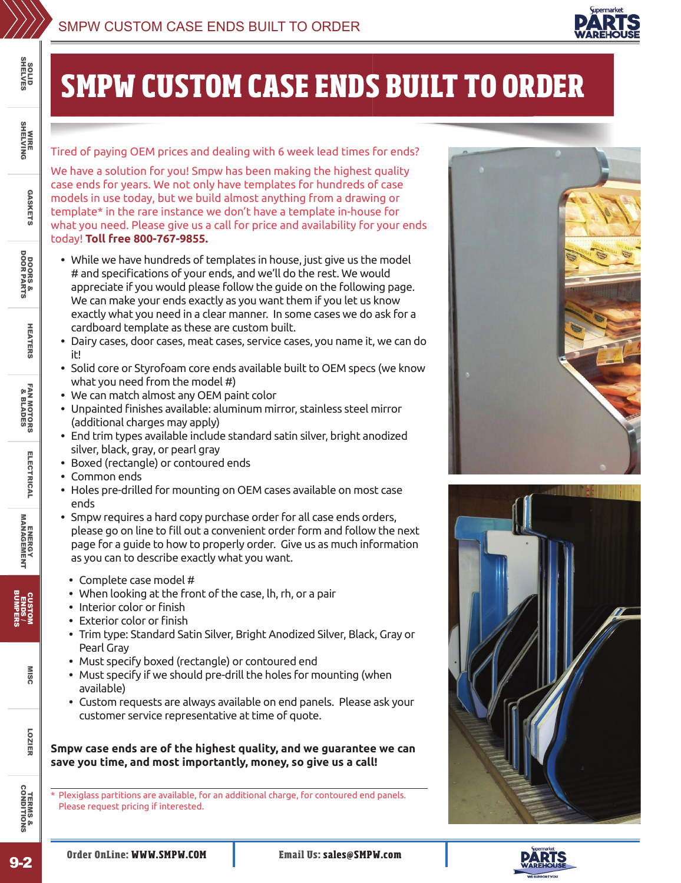

## **SMPW CUSTOM CASE ENDS BUILT TO ORDER**

Tired of paying OEM prices and dealing with 6 week lead times for ends?

We have a solution for you! Smpw has been making the highest quality case ends for years. We not only have templates for hundreds of case models in use today, but we build almost anything from a drawing or template\* in the rare instance we don't have a template in-house for what you need. Please give us a call for price and availability for your ends today! **Toll free 800-767-9855.**

- **•** While we have hundreds of templates in house, just give us the model # and specifications of your ends, and we'll do the rest. We would appreciate if you would please follow the guide on the following page. We can make your ends exactly as you want them if you let us know exactly what you need in a clear manner. In some cases we do ask for a cardboard template as these are custom built.
- **•** Dairy cases, door cases, meat cases, service cases, you name it, we can do it!
- **•** Solid core or Styrofoam core ends available built to OEM specs (we know what you need from the model #)
- **•** We can match almost any OEM paint color
- Unpainted finishes available: aluminum mirror, stainless steel mirror (additional charges may apply)
- **•** End trim types available include standard satin silver, bright anodized silver, black, gray, or pearl gray
- **•** Boxed (rectangle) or contoured ends
- **•** Common ends

SOLID<br>SHELVES SHELVES

WIRE<br>SHELVING SHELVING

GASKETS

**GASKETS** 

DOORS &<br>DOOR PARTS DOORS & DOOR PARTS

HEATERS

**HEATERS** 

**FAN MOTORS**<br>8. BLADES FAN MOTORS & BLADES

ELECTRICAL

ELECTRICAL

**ENERGY<br>MANAGEMENT** ENERGY MANAGEMENT

CUSTOM ENDS / BUMPERS

LOZIER MISC

LOZIER

**MISC** 

- **•** Holes pre-drilled for mounting on OEM cases available on most case ends
- **•** Smpw requires a hard copy purchase order for all case ends orders, please go on line to fill out a convenient order form and follow the next page for a guide to how to properly order. Give us as much information as you can to describe exactly what you want.
- **•** Complete case model #
- **•** When looking at the front of the case, lh, rh, or a pair
- Interior color or finish
- Exterior color or finish
- **•** Trim type: Standard Satin Silver, Bright Anodized Silver, Black, Gray or Pearl Gray
- **•** Must specify boxed (rectangle) or contoured end
- **•** Must specify if we should pre-drill the holes for mounting (when available)
- **•** Custom requests are always available on end panels. Please ask your customer service representative at time of quote.

**Smpw case ends are of the highest quality, and we guarantee we can save you time, and most importantly, money, so give us a call!**

\* Plexiglass partitions are available, for an additional charge, for contoured end panels. Please request pricing if interested.